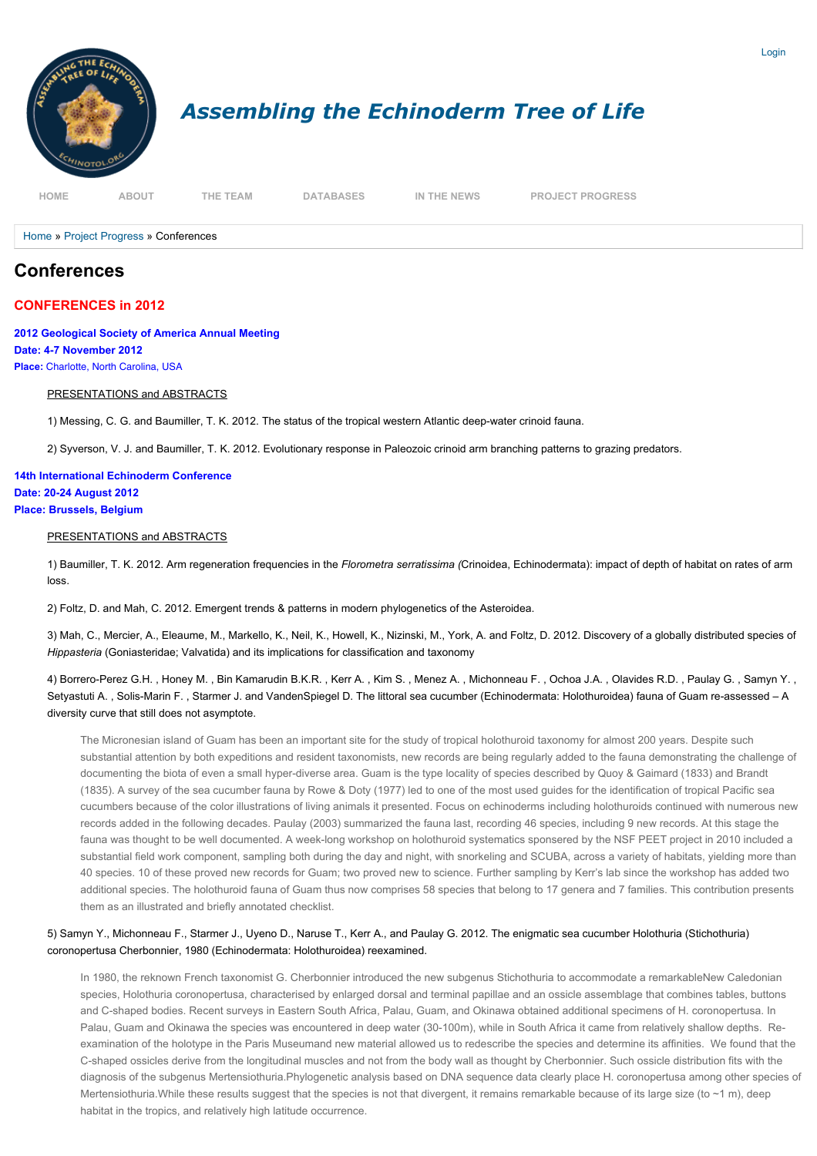

[Home](http://echinotol.org/) » [Project Progress](http://echinotol.org/project-progress) » Conferences

# **Conferences**

## **CONFERENCES in 2012**

**2012 Geological Society of America Annual Meeting Date: 4-7 November 2012 Place:** Charlotte, North Carolina, USA

#### PRESENTATIONS and ABSTRACTS

1) Messing, C. G. and Baumiller, T. K. 2012. The status of the tropical western Atlantic deep-water crinoid fauna.

2) Syverson, V. J. and Baumiller, T. K. 2012. Evolutionary response in Paleozoic crinoid arm branching patterns to grazing predators.

**14th International Echinoderm Conference Date: 20-24 August 2012 Place: Brussels, Belgium**

## PRESENTATIONS and ABSTRACTS

1) Baumiller, T. K. 2012. Arm regeneration frequencies in the *Florometra serratissima (*Crinoidea, Echinodermata): impact of depth of habitat on rates of arm loss.

2) Foltz, D. and Mah, C. 2012. Emergent trends & patterns in modern phylogenetics of the Asteroidea.

3) Mah, C., Mercier, A., Eleaume, M., Markello, K., Neil, K., Howell, K., Nizinski, M., York, A. and Foltz, D. 2012. Discovery of a globally distributed species of *Hippasteria* (Goniasteridae; Valvatida) and its implications for classification and taxonomy

4) Borrero-Perez G.H. , Honey M. , Bin Kamarudin B.K.R. , Kerr A. , Kim S. , Menez A. , Michonneau F. , Ochoa J.A. , Olavides R.D. , Paulay G. , Samyn Y. , Setyastuti A. , Solis-Marin F. , Starmer J. and VandenSpiegel D. The littoral sea cucumber (Echinodermata: Holothuroidea) fauna of Guam re-assessed – A diversity curve that still does not asymptote.

The Micronesian island of Guam has been an important site for the study of tropical holothuroid taxonomy for almost 200 years. Despite such substantial attention by both expeditions and resident taxonomists, new records are being regularly added to the fauna demonstrating the challenge of documenting the biota of even a small hyper-diverse area. Guam is the type locality of species described by Quoy & Gaimard (1833) and Brandt (1835). A survey of the sea cucumber fauna by Rowe & Doty (1977) led to one of the most used guides for the identification of tropical Pacific sea cucumbers because of the color illustrations of living animals it presented. Focus on echinoderms including holothuroids continued with numerous new records added in the following decades. Paulay (2003) summarized the fauna last, recording 46 species, including 9 new records. At this stage the fauna was thought to be well documented. A week-long workshop on holothuroid systematics sponsered by the NSF PEET project in 2010 included a substantial field work component, sampling both during the day and night, with snorkeling and SCUBA, across a variety of habitats, yielding more than 40 species. 10 of these proved new records for Guam; two proved new to science. Further sampling by Kerr's lab since the workshop has added two additional species. The holothuroid fauna of Guam thus now comprises 58 species that belong to 17 genera and 7 families. This contribution presents them as an illustrated and briefly annotated checklist.

### 5) Samyn Y., Michonneau F., Starmer J., Uyeno D., Naruse T., Kerr A., and Paulay G. 2012. The enigmatic sea cucumber Holothuria (Stichothuria) coronopertusa Cherbonnier, 1980 (Echinodermata: Holothuroidea) reexamined.

In 1980, the reknown French taxonomist G. Cherbonnier introduced the new subgenus Stichothuria to accommodate a remarkableNew Caledonian species, Holothuria coronopertusa, characterised by enlarged dorsal and terminal papillae and an ossicle assemblage that combines tables, buttons and C-shaped bodies. Recent surveys in Eastern South Africa, Palau, Guam, and Okinawa obtained additional specimens of H. coronopertusa. In Palau, Guam and Okinawa the species was encountered in deep water (30-100m), while in South Africa it came from relatively shallow depths. Reexamination of the holotype in the Paris Museumand new material allowed us to redescribe the species and determine its affinities. We found that the C-shaped ossicles derive from the longitudinal muscles and not from the body wall as thought by Cherbonnier. Such ossicle distribution fits with the diagnosis of the subgenus Mertensiothuria.Phylogenetic analysis based on DNA sequence data clearly place H. coronopertusa among other species of Mertensiothuria. While these results suggest that the species is not that divergent, it remains remarkable because of its large size (to  $\sim$ 1 m), deep habitat in the tropics, and relatively high latitude occurrence.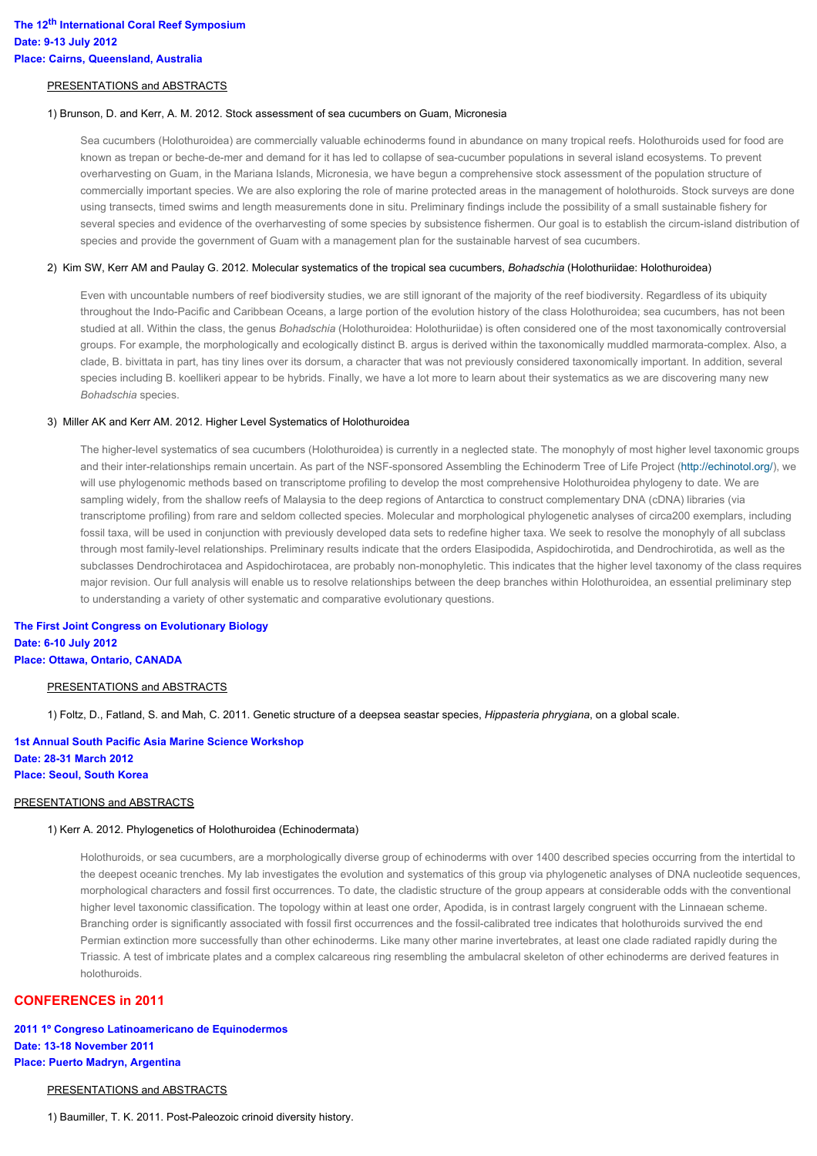#### PRESENTATIONS and ABSTRACTS

#### 1) Brunson, D. and Kerr, A. M. 2012. Stock assessment of sea cucumbers on Guam, Micronesia

Sea cucumbers (Holothuroidea) are commercially valuable echinoderms found in abundance on many tropical reefs. Holothuroids used for food are known as trepan or beche-de-mer and demand for it has led to collapse of sea-cucumber populations in several island ecosystems. To prevent overharvesting on Guam, in the Mariana Islands, Micronesia, we have begun a comprehensive stock assessment of the population structure of commercially important species. We are also exploring the role of marine protected areas in the management of holothuroids. Stock surveys are done using transects, timed swims and length measurements done in situ. Preliminary findings include the possibility of a small sustainable fishery for several species and evidence of the overharvesting of some species by subsistence fishermen. Our goal is to establish the circum-island distribution of species and provide the government of Guam with a management plan for the sustainable harvest of sea cucumbers.

#### 2) Kim SW, Kerr AM and Paulay G. 2012. Molecular systematics of the tropical sea cucumbers, *Bohadschia* (Holothuriidae: Holothuroidea)

Even with uncountable numbers of reef biodiversity studies, we are still ignorant of the majority of the reef biodiversity. Regardless of its ubiquity throughout the Indo-Pacific and Caribbean Oceans, a large portion of the evolution history of the class Holothuroidea; sea cucumbers, has not been studied at all. Within the class, the genus *Bohadschia* (Holothuroidea: Holothuriidae) is often considered one of the most taxonomically controversial groups. For example, the morphologically and ecologically distinct B. argus is derived within the taxonomically muddled marmorata-complex. Also, a clade, B. bivittata in part, has tiny lines over its dorsum, a character that was not previously considered taxonomically important. In addition, several species including B. koellikeri appear to be hybrids. Finally, we have a lot more to learn about their systematics as we are discovering many new *Bohadschia* species.

#### 3) Miller AK and Kerr AM. 2012. Higher Level Systematics of Holothuroidea

The higher-level systematics of sea cucumbers (Holothuroidea) is currently in a neglected state. The monophyly of most higher level taxonomic groups and their inter-relationships remain uncertain. As part of the NSF-sponsored Assembling the Echinoderm Tree of Life Project [\(http://echinotol.org/\)](http://echinotol.org/), we will use phylogenomic methods based on transcriptome profiling to develop the most comprehensive Holothuroidea phylogeny to date. We are sampling widely, from the shallow reefs of Malaysia to the deep regions of Antarctica to construct complementary DNA (cDNA) libraries (via transcriptome profiling) from rare and seldom collected species. Molecular and morphological phylogenetic analyses of circa200 exemplars, including fossil taxa, will be used in conjunction with previously developed data sets to redefine higher taxa. We seek to resolve the monophyly of all subclass through most family-level relationships. Preliminary results indicate that the orders Elasipodida, Aspidochirotida, and Dendrochirotida, as well as the subclasses Dendrochirotacea and Aspidochirotacea, are probably non-monophyletic. This indicates that the higher level taxonomy of the class requires major revision. Our full analysis will enable us to resolve relationships between the deep branches within Holothuroidea, an essential preliminary step to understanding a variety of other systematic and comparative evolutionary questions.

**The First Joint Congress on Evolutionary Biology Date: 6-10 July 2012 Place: Ottawa, Ontario, CANADA**

#### PRESENTATIONS and ABSTRACTS

1) Foltz, D., Fatland, S. and Mah, C. 2011. Genetic structure of a deepsea seastar species, *Hippasteria phrygiana*, on a global scale.

## **1st Annual South Pacific Asia Marine Science Workshop Date: 28-31 March 2012 Place: Seoul, South Korea**

### PRESENTATIONS and ABSTRACTS

### 1) Kerr A. 2012. Phylogenetics of Holothuroidea (Echinodermata)

Holothuroids, or sea cucumbers, are a morphologically diverse group of echinoderms with over 1400 described species occurring from the intertidal to the deepest oceanic trenches. My lab investigates the evolution and systematics of this group via phylogenetic analyses of DNA nucleotide sequences, morphological characters and fossil first occurrences. To date, the cladistic structure of the group appears at considerable odds with the conventional higher level taxonomic classification. The topology within at least one order, Apodida, is in contrast largely congruent with the Linnaean scheme. Branching order is significantly associated with fossil first occurrences and the fossil-calibrated tree indicates that holothuroids survived the end Permian extinction more successfully than other echinoderms. Like many other marine invertebrates, at least one clade radiated rapidly during the Triassic. A test of imbricate plates and a complex calcareous ring resembling the ambulacral skeleton of other echinoderms are derived features in holothuroids.

## **CONFERENCES in 2011**

## **2011 1º Congreso Latinoamericano de Equinodermos Date: 13-18 November 2011 Place: Puerto Madryn, Argentina**

### PRESENTATIONS and ABSTRACTS

1) Baumiller, T. K. 2011. Post-Paleozoic crinoid diversity history.